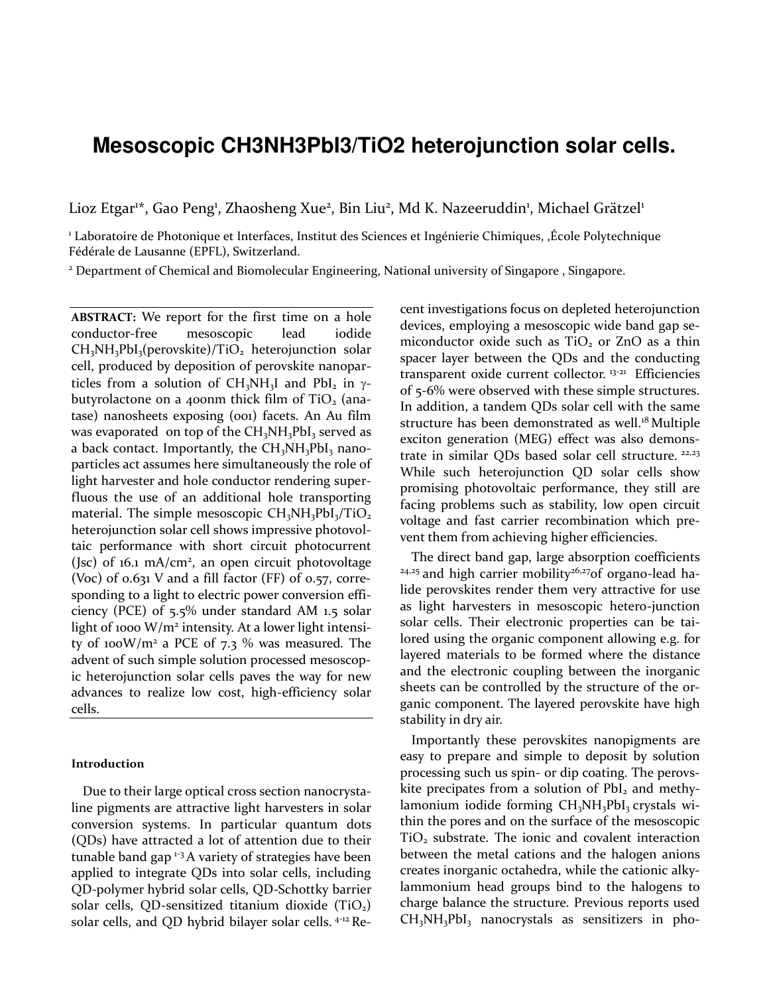# **Mesoscopic CH3NH3PbI3/TiO2 heterojunction solar cells.**

Lioz Etgar<sup>1\*</sup>, Gao Peng<sup>1</sup>, Zhaosheng Xue<sup>2</sup>, Bin Liu<sup>2</sup>, Md K. Nazeeruddin<sup>1</sup>, Michael Grätzel<sup>1</sup>

1 Laboratoire de Photonique et Interfaces, Institut des Sciences et Ingénierie Chimiques, ,École Polytechnique Fédérale de Lausanne (EPFL), Switzerland.

2 Department of Chemical and Biomolecular Engineering, National university of Singapore , Singapore.

**ABSTRACT:** We report for the first time on a hole conductor-free mesoscopic lead iodide  $CH<sub>3</sub>NH<sub>3</sub>PbI<sub>3</sub>(perovskite)/TiO<sub>2</sub> heterojunction solar$ cell, produced by deposition of perovskite nanoparticles from a solution of  $CH_3NH_3I$  and PbI<sub>2</sub> in  $\gamma$ butyrolactone on a 400nm thick film of  $TiO<sub>2</sub>$  (anatase) nanosheets exposing (001) facets. An Au film was evaporated on top of the  $CH_3NH_3PbI_3$  served as a back contact. Importantly, the CH<sub>3</sub>NH<sub>3</sub>PbI<sub>3</sub> nanoparticles act assumes here simultaneously the role of light harvester and hole conductor rendering superfluous the use of an additional hole transporting material. The simple mesoscopic  $CH<sub>3</sub>NH<sub>3</sub>PbI<sub>3</sub>/TiO<sub>2</sub>$ heterojunction solar cell shows impressive photovoltaic performance with short circuit photocurrent (Jsc) of 16.1 mA/cm<sup>2</sup>, an open circuit photovoltage (Voc) of 0.631 V and a fill factor (FF) of 0.57, corresponding to a light to electric power conversion efficiency (PCE) of 5.5% under standard AM 1.5 solar light of 1000 W/m<sup>2</sup> intensity. At a lower light intensity of 100W/m<sup>2</sup> a PCE of 7.3 % was measured. The advent of such simple solution processed mesoscopic heterojunction solar cells paves the way for new advances to realize low cost, high-efficiency solar cells.

#### **Introduction**

Due to their large optical cross section nanocrystaline pigments are attractive light harvesters in solar conversion systems. In particular quantum dots (QDs) have attracted a lot of attention due to their tunable band gap<sup>1-3</sup> A variety of strategies have been applied to integrate QDs into solar cells, including QD-polymer hybrid solar cells, QD-Schottky barrier solar cells, QD-sensitized titanium dioxide  $(TiO<sub>2</sub>)$ solar cells, and QD hybrid bilayer solar cells. 4-12 Re<span id="page-0-0"></span>cent investigations focus on depleted heterojunction devices, employing a mesoscopic wide band gap semiconductor oxide such as  $TiO<sub>2</sub>$  or ZnO as a thin spacer layer between the QDs and the conducting transparent oxide current collector.<sup>13-21</sup> Efficiencies of 5-6% were observed with these simple structures. In addition, a tandem QDs solar cell with the same structure has been demonstrated as well.<sup>[18](#page-0-0)</sup> Multiple exciton generation (MEG) effect was also demonstrate in similar QDs based solar cell structure. <sup>22,23</sup> While such heterojunction QD solar cells show promising photovoltaic performance, they still are facing problems such as stability, low open circuit voltage and fast carrier recombination which prevent them from achieving higher efficiencies.

The direct band gap, large absorption coefficients  $24.25$  and high carrier mobility $26.27$ of organo-lead halide perovskites render them very attractive for use as light harvesters in mesoscopic hetero-junction solar cells. Their electronic properties can be tailored using the organic component allowing e.g. for layered materials to be formed where the distance and the electronic coupling between the inorganic sheets can be controlled by the structure of the organic component. The layered perovskite have high stability in dry air.

Importantly these perovskites nanopigments are easy to prepare and simple to deposit by solution processing such us spin- or dip coating. The perovskite precipates from a solution of  $PbI<sub>2</sub>$  and methylamonium iodide forming CH<sub>3</sub>NH<sub>3</sub>PbI<sub>3</sub> crystals within the pores and on the surface of the mesoscopic TiO<sub>2</sub> substrate. The ionic and covalent interaction between the metal cations and the halogen anions creates inorganic octahedra, while the cationic alkylammonium head groups bind to the halogens to charge balance the structure. Previous reports used  $CH<sub>3</sub>NH<sub>3</sub>PbI<sub>3</sub>$  nanocrystals as sensitizers in pho-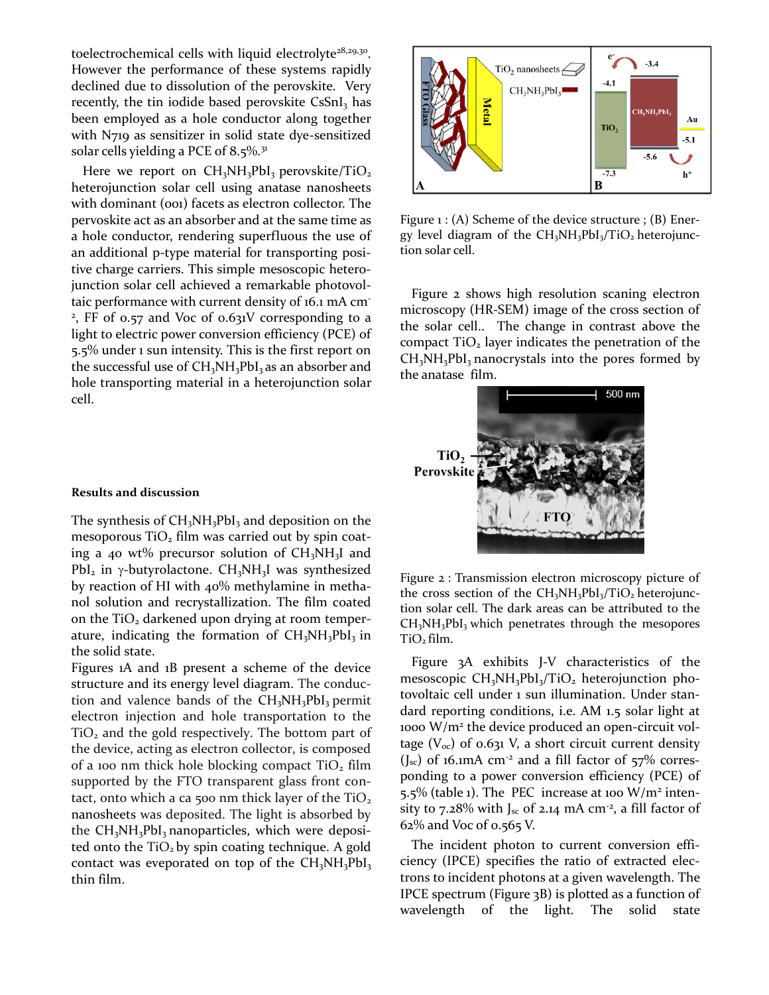toelectrochemical cells with liquid electrolyte<sup>28,29,30</sup>. However the performance of these systems rapidly declined due to dissolution of the perovskite. Very recently, the tin iodide based perovskite CsSnI<sub>3</sub> has been employed as a hole conductor along together with N719 as sensitizer in solid state dye-sensitized solar cells yielding a PCE of 8.5%.<sup>31</sup>

Here we report on  $CH_3NH_3PbI_3$  perovskite/TiO<sub>2</sub> heterojunction solar cell using anatase nanosheets with dominant (001) facets as electron collector. The pervoskite act as an absorber and at the same time as a hole conductor, rendering superfluous the use of an additional p-type material for transporting positive charge carriers. This simple mesoscopic heterojunction solar cell achieved a remarkable photovoltaic performance with current density of 16.1 mA cm-2 , FF of 0.57 and Voc of 0.631V corresponding to a light to electric power conversion efficiency (PCE) of 5.5% under 1 sun intensity. This is the first report on the successful use of  $CH<sub>3</sub>NH<sub>3</sub>PbI<sub>3</sub>$  as an absorber and hole transporting material in a heterojunction solar cell.

#### **Results and discussion**

The synthesis of  $CH_3NH_3PbI_3$  and deposition on the mesoporous  $TiO<sub>2</sub>$  film was carried out by spin coating a 40 wt% precursor solution of  $CH<sub>3</sub>NH<sub>3</sub>I$  and PbI<sub>2</sub> in  $\gamma$ -butyrolactone. CH<sub>3</sub>NH<sub>3</sub>I was synthesized by reaction of HI with 40% methylamine in methanol solution and recrystallization. The film coated on the  $TiO<sub>2</sub>$  darkened upon drying at room temperature, indicating the formation of  $CH<sub>3</sub>NH<sub>3</sub>PbI<sub>3</sub>$  in the solid state.

Figures 1A and 1B present a scheme of the device structure and its energy level diagram. The conduction and valence bands of the  $CH<sub>3</sub>NH<sub>3</sub>PbI<sub>3</sub>$  permit electron injection and hole transportation to the  $TiO<sub>2</sub>$  and the gold respectively. The bottom part of the device, acting as electron collector, is composed of a 100 nm thick hole blocking compact  $TiO<sub>2</sub> film$ supported by the FTO transparent glass front contact, onto which a ca 500 nm thick layer of the  $TiO<sub>2</sub>$ nanosheets was deposited. The light is absorbed by the  $CH<sub>3</sub>NH<sub>3</sub>PbI<sub>3</sub>$  nanoparticles, which were deposited onto the  $TiO<sub>2</sub>$  by spin coating technique. A gold contact was eveporated on top of the  $CH<sub>3</sub>NH<sub>3</sub>PbI<sub>3</sub>$ thin film.



Figure 1 : (A) Scheme of the device structure ; (B) Energy level diagram of the  $CH<sub>3</sub>NH<sub>3</sub>PbI<sub>3</sub>/TiO<sub>2</sub> heterojunc$ tion solar cell.

Figure 2 shows high resolution scaning electron microscopy (HR-SEM) image of the cross section of the solar cell.. The change in contrast above the compact  $TiO<sub>2</sub>$  layer indicates the penetration of the  $CH<sub>3</sub>NH<sub>3</sub>PbI<sub>3</sub>$  nanocrystals into the pores formed by the anatase film.



Figure 2 : Transmission electron microscopy picture of the cross section of the  $CH<sub>3</sub>NH<sub>3</sub>PbI<sub>3</sub>/TiO<sub>2</sub> heterojunc$ tion solar cell. The dark areas can be attributed to the  $CH<sub>3</sub>NH<sub>3</sub>PbI<sub>3</sub>$  which penetrates through the mesopores TiO2 film.

Figure 3A exhibits J-V characteristics of the mesoscopic  $CH<sub>3</sub>NH<sub>3</sub>PbI<sub>3</sub>/TiO<sub>2</sub> heterojunction pho$ tovoltaic cell under 1 sun illumination. Under standard reporting conditions, i.e. AM 1.5 solar light at 1000 W/m<sup>2</sup> the device produced an open-circuit voltage ( $V_{\text{oc}}$ ) of 0.631 V, a short circuit current density  $(J_{\rm sc})$  of 16.1mA cm<sup>-2</sup> and a fill factor of 57% corresponding to a power conversion efficiency (PCE) of 5.5% (table 1). The PEC increase at 100  $W/m^2$  intensity to 7.28% with J<sub>sc</sub> of 2.14 mA cm<sup>-2</sup>, a fill factor of 62% and Voc of 0.565 V.

The incident photon to current conversion efficiency (IPCE) specifies the ratio of extracted electrons to incident photons at a given wavelength. The IPCE spectrum (Figure 3B) is plotted as a function of wavelength of the light. The solid state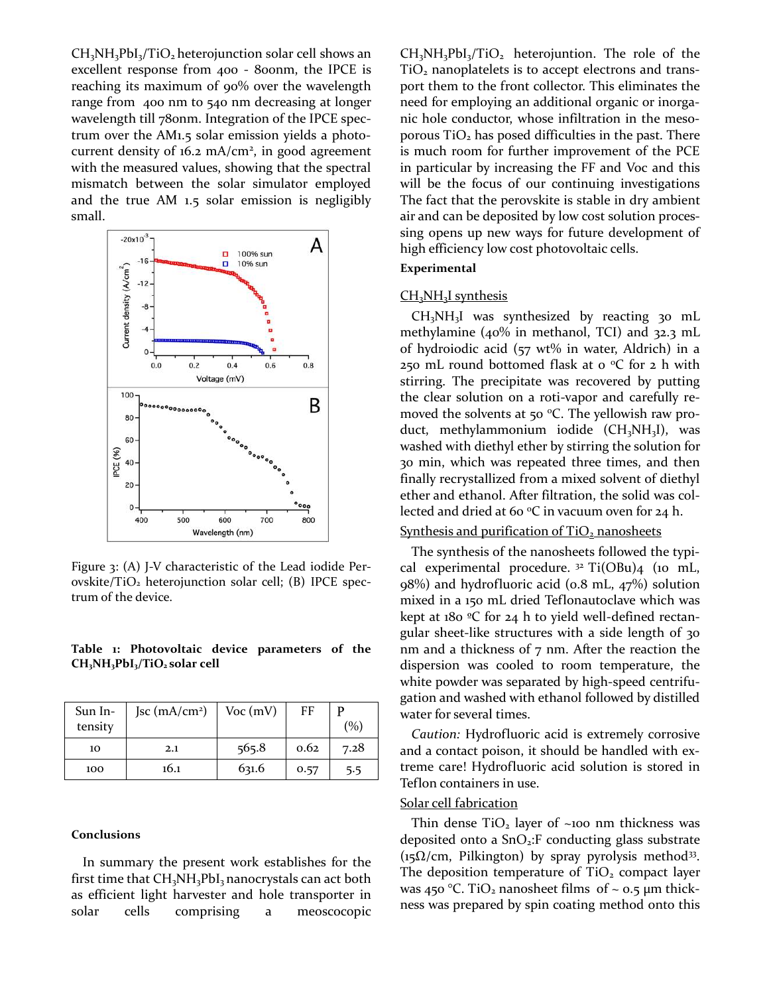$CH<sub>3</sub>NH<sub>3</sub>PbI<sub>3</sub>/TiO<sub>2</sub> heterojunction solar cell shows an$ excellent response from 400 - 800nm, the IPCE is reaching its maximum of 90% over the wavelength range from 400 nm to 540 nm decreasing at longer wavelength till 780nm. Integration of the IPCE spectrum over the AM1.5 solar emission yields a photocurrent density of  $16.2 \text{ mA/cm}^2$ , in good agreement with the measured values, showing that the spectral mismatch between the solar simulator employed and the true AM 1.5 solar emission is negligibly small.



Figure 3: (A) J-V characteristic of the Lead iodide Perovskite/TiO<sub>2</sub> heterojunction solar cell; (B) IPCE spectrum of the device.

#### **Table 1: Photovoltaic device parameters of the CH3NH3PbI3/TiO2 solar cell**

| Sun In-<br>tensity | Jsc $(mA/cm2)$ | $Voc$ (mV) | FF   | (%)  |
|--------------------|----------------|------------|------|------|
| 10                 | 2.1            | 565.8      | 0.62 | 7.28 |
| 100                | 16.1           | 631.6      | 0.57 | 5.5  |

#### **Conclusions**

In summary the present work establishes for the first time that  $CH<sub>3</sub>NH<sub>3</sub>PbI<sub>3</sub>$  nanocrystals can act both as efficient light harvester and hole transporter in solar cells comprising a meoscocopic

 $CH<sub>3</sub>NH<sub>3</sub>PbI<sub>3</sub>/TiO<sub>2</sub> heterojunction. The role of the$ TiO<sub>2</sub> nanoplatelets is to accept electrons and transport them to the front collector. This eliminates the need for employing an additional organic or inorganic hole conductor, whose infiltration in the mesoporous  $TiO<sub>2</sub>$  has posed difficulties in the past. There is much room for further improvement of the PCE in particular by increasing the FF and Voc and this will be the focus of our continuing investigations The fact that the perovskite is stable in dry ambient air and can be deposited by low cost solution processing opens up new ways for future development of high efficiency low cost photovoltaic cells.

#### **Experimental**

## CH<sub>3</sub>NH<sub>3</sub>I synthesis

CH3NH3I was synthesized by reacting 30 mL methylamine (40% in methanol, TCI) and 32.3 mL of hydroiodic acid (57 wt% in water, Aldrich) in a 250 mL round bottomed flask at  $o$  °C for 2 h with stirring. The precipitate was recovered by putting the clear solution on a roti-vapor and carefully removed the solvents at 50  $^{\circ}$ C. The yellowish raw product, methylammonium iodide (CH<sub>3</sub>NH<sub>3</sub>I), was washed with diethyl ether by stirring the solution for 30 min, which was repeated three times, and then finally recrystallized from a mixed solvent of diethyl ether and ethanol. After filtration, the solid was collected and dried at 60  $\mathrm{^{\circ}C}$  in vacuum oven for 24 h.

# Synthesis and purification of TiO<sub>2</sub> nanosheets

The synthesis of the nanosheets followed the typical experimental procedure.  $32$  Ti(OBu)<sub>4</sub> (10 mL, 98%) and hydrofluoric acid (0.8 mL, 47%) solution mixed in a 150 mL dried Teflonautoclave which was kept at 180 ºC for 24 h to yield well-defined rectangular sheet-like structures with a side length of 30 nm and a thickness of 7 nm. After the reaction the dispersion was cooled to room temperature, the white powder was separated by high-speed centrifugation and washed with ethanol followed by distilled water for several times.

*Caution:* Hydrofluoric acid is extremely corrosive and a contact poison, it should be handled with extreme care! Hydrofluoric acid solution is stored in Teflon containers in use.

#### Solar cell fabrication

Thin dense  $TiO<sub>2</sub>$  layer of ~100 nm thickness was deposited onto a  $SnO<sub>2</sub>:F$  conducting glass substrate ( $15\Omega/cm$ , Pilkington) by spray pyrolysis method<sup>33</sup>. The deposition temperature of  $TiO<sub>2</sub>$  compact layer was 450 °C. TiO<sub>2</sub> nanosheet films of  $\sim$  0.5  $\mu$ m thickness was prepared by spin coating method onto this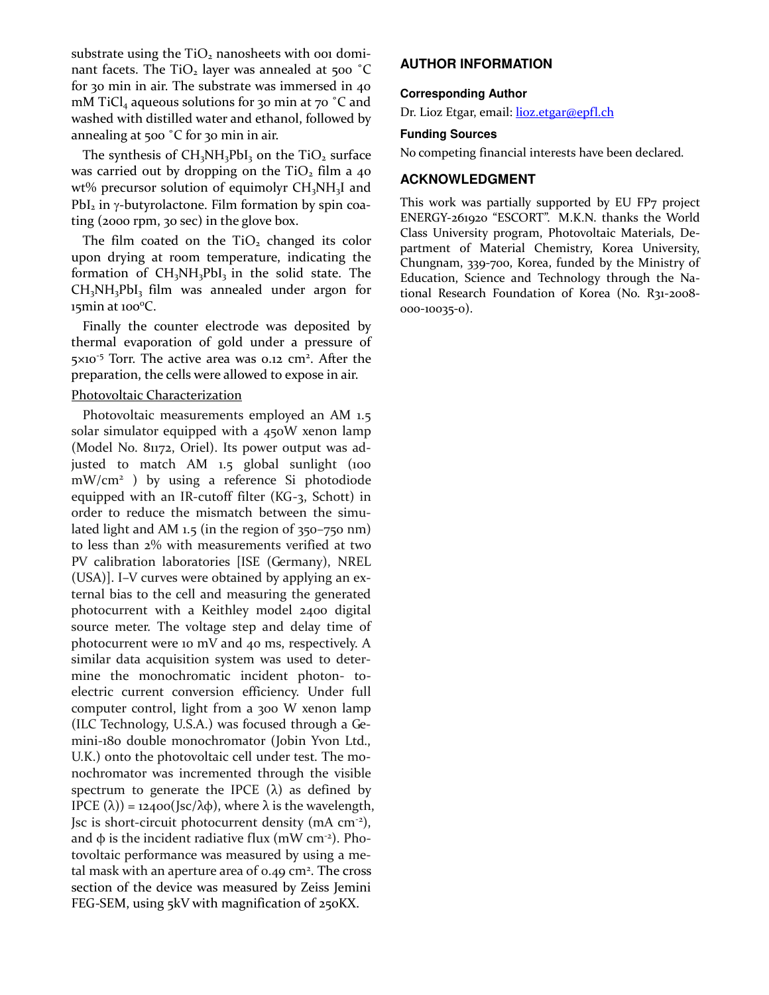substrate using the  $TiO<sub>2</sub>$  nanosheets with ooi dominant facets. The  $TiO<sub>2</sub>$  layer was annealed at 500  $°C$ for 30 min in air. The substrate was immersed in 40 mM TiCl<sub>4</sub> aqueous solutions for 30 min at 70  $^{\circ}$ C and washed with distilled water and ethanol, followed by annealing at 500 ˚C for 30 min in air.

The synthesis of  $CH<sub>3</sub>NH<sub>3</sub>PbI<sub>3</sub>$  on the TiO<sub>2</sub> surface was carried out by dropping on the  $TiO<sub>2</sub>$  film a 40 wt% precursor solution of equimolyr CH<sub>3</sub>NH<sub>3</sub>I and  $PbI<sub>2</sub>$  in  $\gamma$ -butyrolactone. Film formation by spin coating (2000 rpm, 30 sec) in the glove box.

The film coated on the  $TiO<sub>2</sub>$  changed its color upon drying at room temperature, indicating the formation of  $CH<sub>3</sub>NH<sub>3</sub>PbI<sub>3</sub>$  in the solid state. The  $CH<sub>3</sub>NH<sub>3</sub>PbI<sub>3</sub>$  film was annealed under argon for  $15$ min at  $100^{\circ}$ C.

Finally the counter electrode was deposited by thermal evaporation of gold under a pressure of 5×10<sup>-5</sup> Torr. The active area was 0.12 cm<sup>2</sup>. After the preparation, the cells were allowed to expose in air.

# Photovoltaic Characterization

Photovoltaic measurements employed an AM 1.5 solar simulator equipped with a 450W xenon lamp (Model No. 81172, Oriel). Its power output was adjusted to match AM 1.5 global sunlight (100 mW/cm<sup>2</sup> ) by using a reference Si photodiode equipped with an IR-cutoff filter (KG-3, Schott) in order to reduce the mismatch between the simulated light and AM 1.5 (in the region of 350–750 nm) to less than 2% with measurements verified at two PV calibration laboratories [ISE (Germany), NREL (USA)]. I–V curves were obtained by applying an external bias to the cell and measuring the generated photocurrent with a Keithley model 2400 digital source meter. The voltage step and delay time of photocurrent were 10 mV and 40 ms, respectively. A similar data acquisition system was used to determine the monochromatic incident photon- toelectric current conversion efficiency. Under full computer control, light from a 300 W xenon lamp (ILC Technology, U.S.A.) was focused through a Gemini-180 double monochromator (Jobin Yvon Ltd., U.K.) onto the photovoltaic cell under test. The monochromator was incremented through the visible spectrum to generate the IPCE  $(\lambda)$  as defined by IPCE (λ)) =  $12400$ (Jsc/λφ), where λ is the wavelength, Jsc is short-circuit photocurrent density (mA cm-2), and  $\phi$  is the incident radiative flux (mW cm<sup>-2</sup>). Photovoltaic performance was measured by using a metal mask with an aperture area of  $0.49 \text{ cm}^2$ . The cross section of the device was measured by Zeiss Jemini FEG-SEM, using 5kV with magnification of 250KX.

## **AUTHOR INFORMATION**

#### **Corresponding Author**

Dr. Lioz Etgar, email: lioz.etgar@epfl.ch

#### **Funding Sources**

No competing financial interests have been declared.

# **ACKNOWLEDGMENT**

This work was partially supported by EU FP7 project ENERGY-261920 "ESCORT". M.K.N. thanks the World Class University program, Photovoltaic Materials, Department of Material Chemistry, Korea University, Chungnam, 339-700, Korea, funded by the Ministry of Education, Science and Technology through the National Research Foundation of Korea (No. R31-2008- 000-10035-0).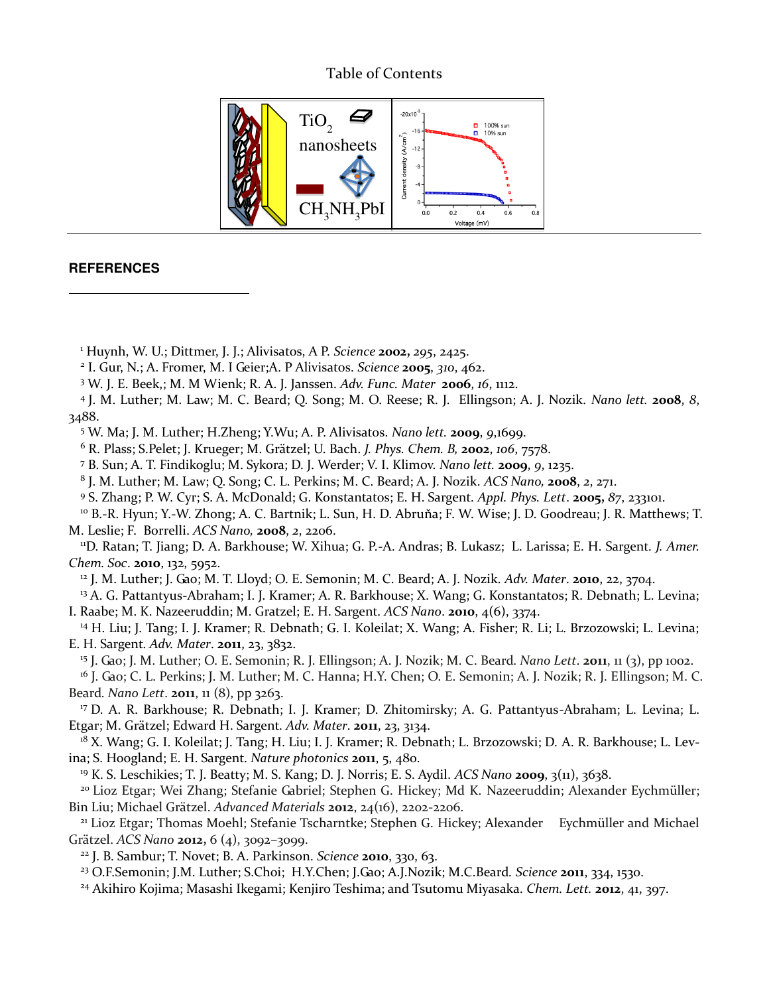# Table of Contents



# **REFERENCES**

 $\overline{a}$ 

1 Huynh, W. U.; Dittmer, J. J.; Alivisatos, A P. *Science* **2002,** *295*, 2425.

2 I. Gur, N.; A. Fromer, M. I Geier;A. P Alivisatos. *Science* **2005**, *310*, 462.

3 W. J. E. Beek,; M. M Wienk; R. A. J. Janssen. *Adv. Func. Mater* **2006**, *16*, 1112.

4 J. M. Luther; M. Law; M. C. Beard; Q. Song; M. O. Reese; R. J. Ellingson; A. J. Nozik. *Nano lett.* **2008**, *8*, 3488.

5 W. Ma; J. M. Luther; H.Zheng; Y.Wu; A. P. Alivisatos. *Nano lett.* **2009**, *9*,1699.

6 R. Plass; S.Pelet; J. Krueger; M. Grätzel; U. Bach. *J. Phys. Chem. B,* **2002**, *106*, 7578.

7 B. Sun; A. T. Findikoglu; M. Sykora; D. J. Werder; V. I. Klimov. *Nano lett.* **2009**, *9*, 1235.

8 J. M. Luther; M. Law; Q. Song; C. L. Perkins; M. C. Beard; A. J. Nozik. *ACS Nano,* **2008**, *2*, 271.

9 S. Zhang; P. W. Cyr; S. A. McDonald; G. Konstantatos; E. H. Sargent. *Appl. Phys. Lett*. **2005,** *87*, 233101.

<sup>10</sup> B.-R. Hyun; Y.-W. Zhong; A. C. Bartnik; L. Sun, H. D. Abruňa; F. W. Wise; J. D. Goodreau; J. R. Matthews; T. M. Leslie; F. Borrelli. *ACS Nano,* **2008**, *2*, 2206.

<sup>11</sup>D. Ratan; T. Jiang; D. A. Barkhouse; W. Xihua; G. P.-A. Andras; B. Lukasz; L. Larissa; E. H. Sargent. *J. Amer. Chem. Soc*. **2010**, 132, 5952.

<sup>12</sup> J. M. Luther; J. Gao; M. T. Lloyd; O. E. Semonin; M. C. Beard; A. J. Nozik. *Adv. Mater*. **2010**, 22, 3704.

<sup>13</sup> A. G. Pattantyus-Abraham; I. J. Kramer; A. R. Barkhouse; X. Wang; G. Konstantatos; R. Debnath; L. Levina; I. Raabe; M. K. Nazeeruddin; M. Gratzel; E. H. Sargent. *[ACS Nano](javascript:AL_get(this,%20)*. **2010**, 4(6), 3374.

<sup>14</sup> H. Liu; J. Tang; I. J. Kramer; R. Debnath; G. I. Koleilat; X. Wang; A. Fisher; R. Li; L. Brzozowski; L. Levina; E. H. Sargent. *Adv. Mater*. **2011**, 23, 3832.

<sup>15</sup> J. Gao; J. M. Luther; O. E. Semonin; R. J. Ellingson; A. J. Nozik; M. C. Beard. *Nano Lett*. **2011**, 11 (3), pp 1002.

<sup>16</sup> J. Gao; C. L. Perkins; J. M. Luther; M. C. Hanna; H.Y. Chen; O. E. Semonin; A. J. Nozik; R. J. Ellingson; M. C. Beard. *Nano Lett*. **2011**, 11 (8), pp 3263.

<sup>17</sup> D. A. R. Barkhouse; R. Debnath; I. J. Kramer; D. Zhitomirsky; A. G. Pattantyus-Abraham; L. Levina; L. Etgar; M. Grätzel; Edward H. Sargent. *Adv. Mater*. **2011**, 23, 3134.

<sup>18</sup> X. Wang; G. I. Koleilat; J. Tang; H. Liu; I. J. Kramer; R. Debnath; L. Brzozowski; D. A. R. Barkhouse; L. Levina; S. Hoogland; E. H. Sargent. *Nature photonics* **2011**, 5, 480.

<sup>19</sup> K. S. Leschikies; T. J. Beatty; M. S. Kang; D. J. Norris; E. S. Aydil. *ACS Nano* **2009**, 3(11), 3638.

<sup>20</sup> Lioz Etgar; Wei Zhang; Stefanie Gabriel; Stephen G. Hickey; Md K. Nazeeruddin; Alexander Eychmüller; Bin Liu; Michael Grätzel. *Advanced Materials* **2012**, 24(16), 2202-2206.

<sup>21</sup> Lioz Etgar; Thomas Moehl; Stefanie Tscharntke; Stephen G. Hickey; Alexander Eychmüller and Michael Grätzel. *ACS Nano* **2012,** 6 (4), 3092–3099.

<sup>22</sup> J. B. Sambur; T. Novet; B. A. Parkinson. *Science* **2010**, 330, 63.

<sup>23</sup> O.F.Semonin; J.M. Luther; S.Choi; H.Y.Chen; J.Gao; A.J.Nozik; M.C.Beard. *Science* **2011**, 334, 1530.

<sup>24</sup> Akihiro Kojima; Masashi Ikegami; Kenjiro Teshima; and Tsutomu Miyasaka. *Chem. Lett.* **2012**, 41, 397.